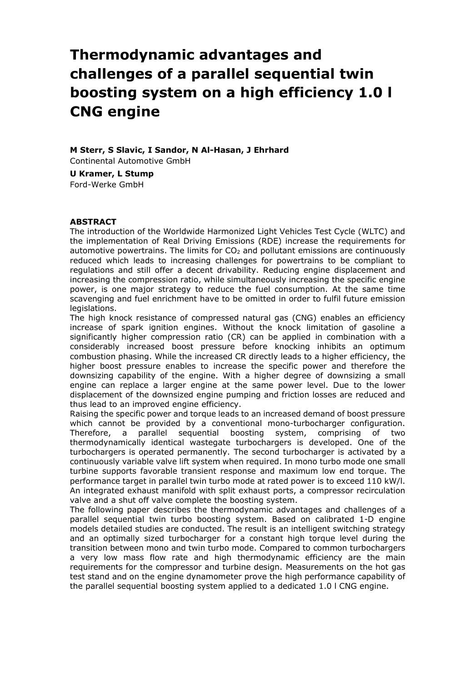# **Thermodynamic advantages and challenges of a parallel sequential twin boosting system on a high efficiency 1.0 l CNG engine**

**M Sterr, S Slavic, I Sandor, N Al-Hasan, J Ehrhard** Continental Automotive GmbH **U Kramer, L Stump** Ford-Werke GmbH

#### **ABSTRACT**

The introduction of the Worldwide Harmonized Light Vehicles Test Cycle (WLTC) and the implementation of Real Driving Emissions (RDE) increase the requirements for automotive powertrains. The limits for  $CO<sub>2</sub>$  and pollutant emissions are continuously reduced which leads to increasing challenges for powertrains to be compliant to regulations and still offer a decent drivability. Reducing engine displacement and increasing the compression ratio, while simultaneously increasing the specific engine power, is one major strategy to reduce the fuel consumption. At the same time scavenging and fuel enrichment have to be omitted in order to fulfil future emission legislations.

The high knock resistance of compressed natural gas (CNG) enables an efficiency increase of spark ignition engines. Without the knock limitation of gasoline a significantly higher compression ratio (CR) can be applied in combination with a considerably increased boost pressure before knocking inhibits an optimum combustion phasing. While the increased CR directly leads to a higher efficiency, the higher boost pressure enables to increase the specific power and therefore the downsizing capability of the engine. With a higher degree of downsizing a small engine can replace a larger engine at the same power level. Due to the lower displacement of the downsized engine pumping and friction losses are reduced and thus lead to an improved engine efficiency.

Raising the specific power and torque leads to an increased demand of boost pressure which cannot be provided by a conventional mono-turbocharger configuration. Therefore, a parallel sequential boosting system, comprising of two thermodynamically identical wastegate turbochargers is developed. One of the turbochargers is operated permanently. The second turbocharger is activated by a continuously variable valve lift system when required. In mono turbo mode one small turbine supports favorable transient response and maximum low end torque. The performance target in parallel twin turbo mode at rated power is to exceed 110 kW/l. An integrated exhaust manifold with split exhaust ports, a compressor recirculation valve and a shut off valve complete the boosting system.

The following paper describes the thermodynamic advantages and challenges of a parallel sequential twin turbo boosting system. Based on calibrated 1-D engine models detailed studies are conducted. The result is an intelligent switching strategy and an optimally sized turbocharger for a constant high torque level during the transition between mono and twin turbo mode. Compared to common turbochargers a very low mass flow rate and high thermodynamic efficiency are the main requirements for the compressor and turbine design. Measurements on the hot gas test stand and on the engine dynamometer prove the high performance capability of the parallel sequential boosting system applied to a dedicated 1.0 l CNG engine.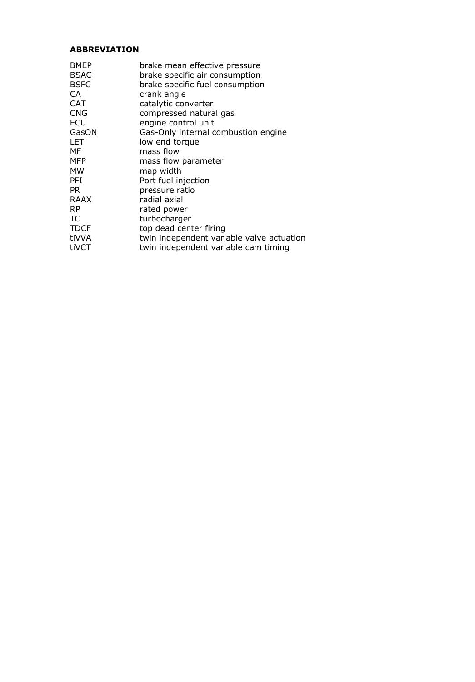## **ABBREVIATION**

| <b>BMEP</b><br><b>BSAC</b><br><b>BSFC</b><br>CA<br><b>CAT</b><br><b>CNG</b><br>ECU<br>GasON<br>LET<br>МF<br>MFP<br>MW<br>PFI<br>PR.<br>RAAX<br><b>RP</b><br>ТC | brake mean effective pressure<br>brake specific air consumption<br>brake specific fuel consumption<br>crank angle<br>catalytic converter<br>compressed natural gas<br>engine control unit<br>Gas-Only internal combustion engine<br>low end torgue<br>mass flow<br>mass flow parameter<br>map width<br>Port fuel injection<br>pressure ratio<br>radial axial<br>rated power<br>turbocharger |
|----------------------------------------------------------------------------------------------------------------------------------------------------------------|---------------------------------------------------------------------------------------------------------------------------------------------------------------------------------------------------------------------------------------------------------------------------------------------------------------------------------------------------------------------------------------------|
|                                                                                                                                                                |                                                                                                                                                                                                                                                                                                                                                                                             |
| TDCF                                                                                                                                                           | top dead center firing                                                                                                                                                                                                                                                                                                                                                                      |
| tiVVA                                                                                                                                                          | twin independent variable valve actuation                                                                                                                                                                                                                                                                                                                                                   |
| tiVCT                                                                                                                                                          | twin independent variable cam timing                                                                                                                                                                                                                                                                                                                                                        |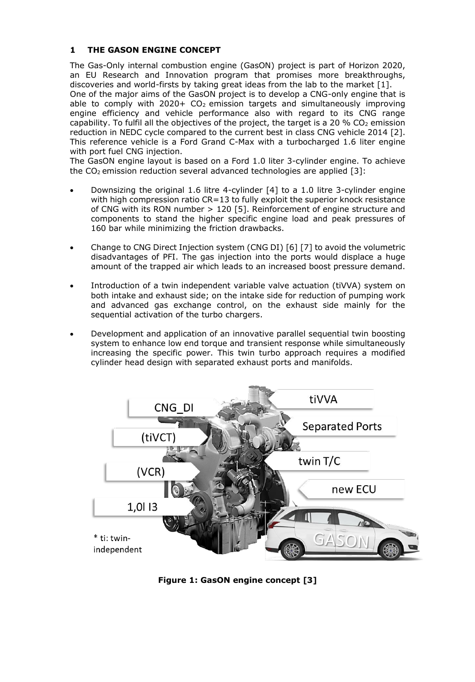## **1 THE GASON ENGINE CONCEPT**

The Gas-Only internal combustion engine (GasON) project is part of Horizon 2020, an EU Research and Innovation program that promises more breakthroughs, discoveries and world-firsts by taking great ideas from the lab to the market [1]. One of the major aims of the GasON project is to develop a CNG-only engine that is able to comply with 2020+  $CO<sub>2</sub>$  emission targets and simultaneously improving engine efficiency and vehicle performance also with regard to its CNG range capability. To fulfil all the objectives of the project, the target is a 20 % CO<sub>2</sub> emission reduction in NEDC cycle compared to the current best in class CNG vehicle 2014 [2]. This reference vehicle is a Ford Grand C-Max with a turbocharged 1.6 liter engine with port fuel CNG injection.

The GasON engine layout is based on a Ford 1.0 liter 3-cylinder engine. To achieve the  $CO<sub>2</sub>$  emission reduction several advanced technologies are applied [3]:

- Downsizing the original 1.6 litre 4-cylinder [4] to a 1.0 litre 3-cylinder engine with high compression ratio CR=13 to fully exploit the superior knock resistance of CNG with its RON number > 120 [5]. Reinforcement of engine structure and components to stand the higher specific engine load and peak pressures of 160 bar while minimizing the friction drawbacks.
- Change to CNG Direct Injection system (CNG DI) [6] [7] to avoid the volumetric disadvantages of PFI. The gas injection into the ports would displace a huge amount of the trapped air which leads to an increased boost pressure demand.
- Introduction of a twin independent variable valve actuation (tiVVA) system on both intake and exhaust side; on the intake side for reduction of pumping work and advanced gas exchange control, on the exhaust side mainly for the sequential activation of the turbo chargers.
- Development and application of an innovative parallel sequential twin boosting system to enhance low end torque and transient response while simultaneously increasing the specific power. This twin turbo approach requires a modified cylinder head design with separated exhaust ports and manifolds.



**Figure 1: GasON engine concept [3]**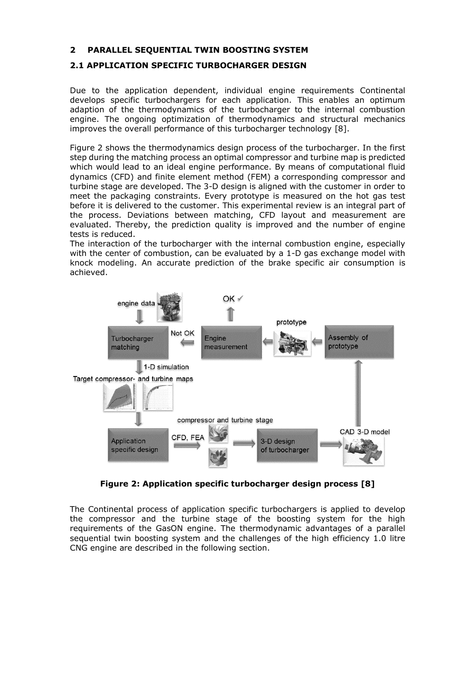### **2 PARALLEL SEQUENTIAL TWIN BOOSTING SYSTEM**

## **2.1 APPLICATION SPECIFIC TURBOCHARGER DESIGN**

Due to the application dependent, individual engine requirements Continental develops specific turbochargers for each application. This enables an optimum adaption of the thermodynamics of the turbocharger to the internal combustion engine. The ongoing optimization of thermodynamics and structural mechanics improves the overall performance of this turbocharger technology [8].

[Figure 2](#page-3-0) shows the thermodynamics design process of the turbocharger. In the first step during the matching process an optimal compressor and turbine map is predicted which would lead to an ideal engine performance. By means of computational fluid dynamics (CFD) and finite element method (FEM) a corresponding compressor and turbine stage are developed. The 3-D design is aligned with the customer in order to meet the packaging constraints. Every prototype is measured on the hot gas test before it is delivered to the customer. This experimental review is an integral part of the process. Deviations between matching, CFD layout and measurement are evaluated. Thereby, the prediction quality is improved and the number of engine tests is reduced.

The interaction of the turbocharger with the internal combustion engine, especially with the center of combustion, can be evaluated by a 1-D gas exchange model with knock modeling. An accurate prediction of the brake specific air consumption is achieved.



**Figure 2: Application specific turbocharger design process [8]**

<span id="page-3-0"></span>The Continental process of application specific turbochargers is applied to develop the compressor and the turbine stage of the boosting system for the high requirements of the GasON engine. The thermodynamic advantages of a parallel sequential twin boosting system and the challenges of the high efficiency 1.0 litre CNG engine are described in the following section.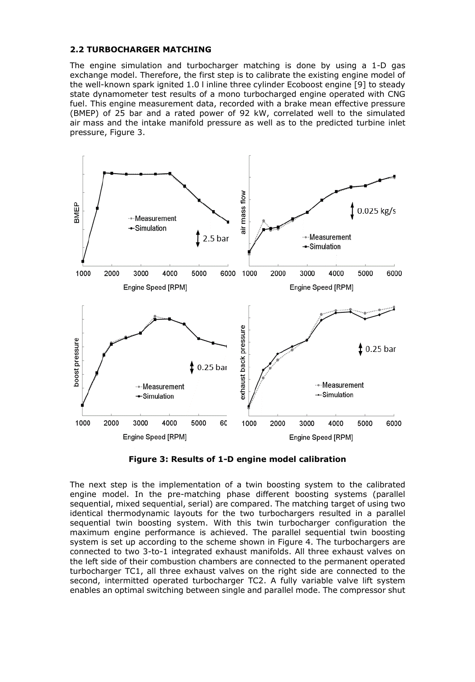#### **2.2 TURBOCHARGER MATCHING**

The engine simulation and turbocharger matching is done by using a 1-D gas exchange model. Therefore, the first step is to calibrate the existing engine model of the well-known spark ignited 1.0 l inline three cylinder Ecoboost engine [9] to steady state dynamometer test results of a mono turbocharged engine operated with CNG fuel. This engine measurement data, recorded with a brake mean effective pressure (BMEP) of 25 bar and a rated power of 92 kW, correlated well to the simulated air mass and the intake manifold pressure as well as to the predicted turbine inlet pressure, [Figure 3.](#page-4-0)



**Figure 3: Results of 1-D engine model calibration** 

<span id="page-4-0"></span>The next step is the implementation of a twin boosting system to the calibrated engine model. In the pre-matching phase different boosting systems (parallel sequential, mixed sequential, serial) are compared. The matching target of using two identical thermodynamic layouts for the two turbochargers resulted in a parallel sequential twin boosting system. With this twin turbocharger configuration the maximum engine performance is achieved. The parallel sequential twin boosting system is set up according to the scheme shown in [Figure 4.](#page-5-0) The turbochargers are connected to two 3-to-1 integrated exhaust manifolds. All three exhaust valves on the left side of their combustion chambers are connected to the permanent operated turbocharger TC1, all three exhaust valves on the right side are connected to the second, intermitted operated turbocharger TC2. A fully variable valve lift system enables an optimal switching between single and parallel mode. The compressor shut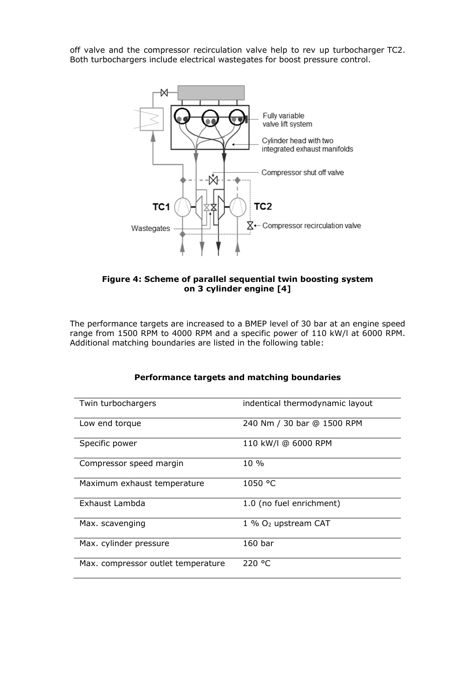off valve and the compressor recirculation valve help to rev up turbocharger TC2. Both turbochargers include electrical wastegates for boost pressure control.



<span id="page-5-0"></span>**Figure 4: Scheme of parallel sequential twin boosting system on 3 cylinder engine [4]**

The performance targets are increased to a BMEP level of 30 bar at an engine speed range from 1500 RPM to 4000 RPM and a specific power of 110 kW/l at 6000 RPM. Additional matching boundaries are listed in the following table:

| Twin turbochargers                 | indentical thermodynamic layout   |
|------------------------------------|-----------------------------------|
| Low end torque                     | 240 Nm / 30 bar @ 1500 RPM        |
| Specific power                     | 110 kW/l @ 6000 RPM               |
| Compressor speed margin            | $10\%$                            |
| Maximum exhaust temperature        | 1050 °C                           |
| Exhaust Lambda                     | 1.0 (no fuel enrichment)          |
| Max. scavenging                    | $1\%$ O <sub>2</sub> upstream CAT |
| Max. cylinder pressure             | 160 <sub>bar</sub>                |
| Max. compressor outlet temperature | 220 °C                            |

## **Performance targets and matching boundaries**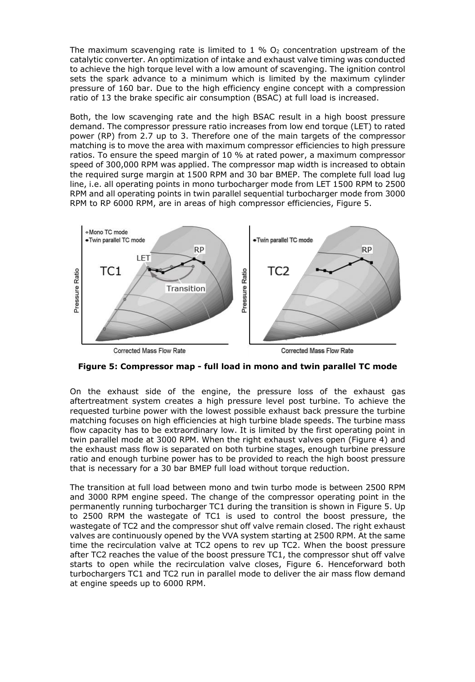The maximum scavenging rate is limited to 1 %  $O<sub>2</sub>$  concentration upstream of the catalytic converter. An optimization of intake and exhaust valve timing was conducted to achieve the high torque level with a low amount of scavenging. The ignition control sets the spark advance to a minimum which is limited by the maximum cylinder pressure of 160 bar. Due to the high efficiency engine concept with a compression ratio of 13 the brake specific air consumption (BSAC) at full load is increased.

Both, the low scavenging rate and the high BSAC result in a high boost pressure demand. The compressor pressure ratio increases from low end torque (LET) to rated power (RP) from 2.7 up to 3. Therefore one of the main targets of the compressor matching is to move the area with maximum compressor efficiencies to high pressure ratios. To ensure the speed margin of 10 % at rated power, a maximum compressor speed of 300,000 RPM was applied. The compressor map width is increased to obtain the required surge margin at 1500 RPM and 30 bar BMEP. The complete full load lug line, i.e. all operating points in mono turbocharger mode from LET 1500 RPM to 2500 RPM and all operating points in twin parallel sequential turbocharger mode from 3000 RPM to RP 6000 RPM, are in areas of high compressor efficiencies, [Figure 5.](#page-6-0)



Corrected Mass Flow Rate

Corrected Mass Flow Rate

<span id="page-6-0"></span>**Figure 5: Compressor map - full load in mono and twin parallel TC mode**

On the exhaust side of the engine, the pressure loss of the exhaust gas aftertreatment system creates a high pressure level post turbine. To achieve the requested turbine power with the lowest possible exhaust back pressure the turbine matching focuses on high efficiencies at high turbine blade speeds. The turbine mass flow capacity has to be extraordinary low. It is limited by the first operating point in twin parallel mode at 3000 RPM. When the right exhaust valves open [\(Figure 4\)](#page-5-0) and the exhaust mass flow is separated on both turbine stages, enough turbine pressure ratio and enough turbine power has to be provided to reach the high boost pressure that is necessary for a 30 bar BMEP full load without torque reduction.

The transition at full load between mono and twin turbo mode is between 2500 RPM and 3000 RPM engine speed. The change of the compressor operating point in the permanently running turbocharger TC1 during the transition is shown in [Figure 5.](#page-6-0) Up to 2500 RPM the wastegate of TC1 is used to control the boost pressure, the wastegate of TC2 and the compressor shut off valve remain closed. The right exhaust valves are continuously opened by the VVA system starting at 2500 RPM. At the same time the recirculation valve at TC2 opens to rev up TC2. When the boost pressure after TC2 reaches the value of the boost pressure TC1, the compressor shut off valve starts to open while the recirculation valve closes, [Figure 6.](#page-7-0) Henceforward both turbochargers TC1 and TC2 run in parallel mode to deliver the air mass flow demand at engine speeds up to 6000 RPM.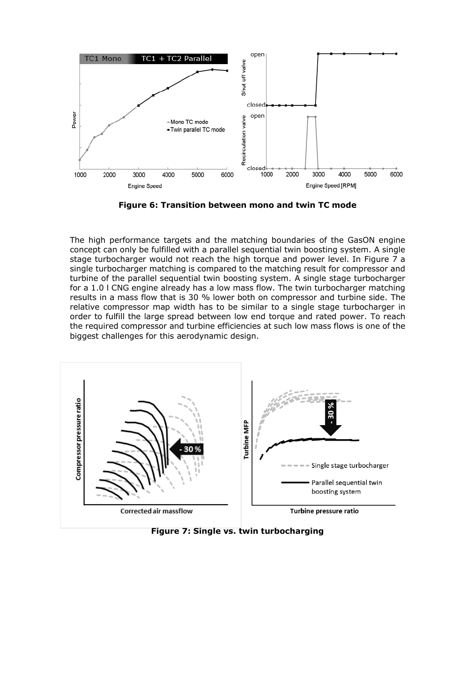

**Figure 6: Transition between mono and twin TC mode**

<span id="page-7-0"></span>The high performance targets and the matching boundaries of the GasON engine concept can only be fulfilled with a parallel sequential twin boosting system. A single stage turbocharger would not reach the high torque and power level. In [Figure 7](#page-7-1) a single turbocharger matching is compared to the matching result for compressor and turbine of the parallel sequential twin boosting system. A single stage turbocharger for a 1.0 l CNG engine already has a low mass flow. The twin turbocharger matching results in a mass flow that is 30 % lower both on compressor and turbine side. The relative compressor map width has to be similar to a single stage turbocharger in order to fulfill the large spread between low end torque and rated power. To reach the required compressor and turbine efficiencies at such low mass flows is one of the biggest challenges for this aerodynamic design.



<span id="page-7-1"></span>**Figure 7: Single vs. twin turbocharging**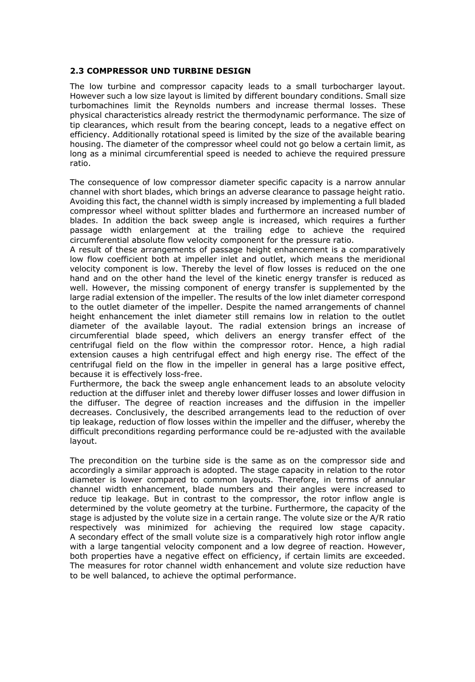#### **2.3 COMPRESSOR UND TURBINE DESIGN**

The low turbine and compressor capacity leads to a small turbocharger layout. However such a low size layout is limited by different boundary conditions. Small size turbomachines limit the Reynolds numbers and increase thermal losses. These physical characteristics already restrict the thermodynamic performance. The size of tip clearances, which result from the bearing concept, leads to a negative effect on efficiency. Additionally rotational speed is limited by the size of the available bearing housing. The diameter of the compressor wheel could not go below a certain limit, as long as a minimal circumferential speed is needed to achieve the required pressure ratio.

The consequence of low compressor diameter specific capacity is a narrow annular channel with short blades, which brings an adverse clearance to passage height ratio. Avoiding this fact, the channel width is simply increased by implementing a full bladed compressor wheel without splitter blades and furthermore an increased number of blades. In addition the back sweep angle is increased, which requires a further passage width enlargement at the trailing edge to achieve the required circumferential absolute flow velocity component for the pressure ratio.

A result of these arrangements of passage height enhancement is a comparatively low flow coefficient both at impeller inlet and outlet, which means the meridional velocity component is low. Thereby the level of flow losses is reduced on the one hand and on the other hand the level of the kinetic energy transfer is reduced as well. However, the missing component of energy transfer is supplemented by the large radial extension of the impeller. The results of the low inlet diameter correspond to the outlet diameter of the impeller. Despite the named arrangements of channel height enhancement the inlet diameter still remains low in relation to the outlet diameter of the available layout. The radial extension brings an increase of circumferential blade speed, which delivers an energy transfer effect of the centrifugal field on the flow within the compressor rotor. Hence, a high radial extension causes a high centrifugal effect and high energy rise. The effect of the centrifugal field on the flow in the impeller in general has a large positive effect, because it is effectively loss-free.

Furthermore, the back the sweep angle enhancement leads to an absolute velocity reduction at the diffuser inlet and thereby lower diffuser losses and lower diffusion in the diffuser. The degree of reaction increases and the diffusion in the impeller decreases. Conclusively, the described arrangements lead to the reduction of over tip leakage, reduction of flow losses within the impeller and the diffuser, whereby the difficult preconditions regarding performance could be re-adjusted with the available layout.

The precondition on the turbine side is the same as on the compressor side and accordingly a similar approach is adopted. The stage capacity in relation to the rotor diameter is lower compared to common layouts. Therefore, in terms of annular channel width enhancement, blade numbers and their angles were increased to reduce tip leakage. But in contrast to the compressor, the rotor inflow angle is determined by the volute geometry at the turbine. Furthermore, the capacity of the stage is adjusted by the volute size in a certain range. The volute size or the A/R ratio respectively was minimized for achieving the required low stage capacity. A secondary effect of the small volute size is a comparatively high rotor inflow angle with a large tangential velocity component and a low degree of reaction. However, both properties have a negative effect on efficiency, if certain limits are exceeded. The measures for rotor channel width enhancement and volute size reduction have to be well balanced, to achieve the optimal performance.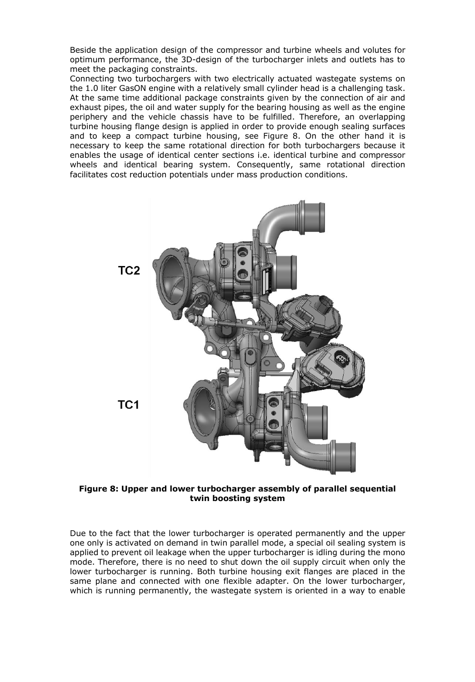Beside the application design of the compressor and turbine wheels and volutes for optimum performance, the 3D-design of the turbocharger inlets and outlets has to meet the packaging constraints.

Connecting two turbochargers with two electrically actuated wastegate systems on the 1.0 liter GasON engine with a relatively small cylinder head is a challenging task. At the same time additional package constraints given by the connection of air and exhaust pipes, the oil and water supply for the bearing housing as well as the engine periphery and the vehicle chassis have to be fulfilled. Therefore, an overlapping turbine housing flange design is applied in order to provide enough sealing surfaces and to keep a compact turbine housing, see [Figure 8.](#page-9-0) On the other hand it is necessary to keep the same rotational direction for both turbochargers because it enables the usage of identical center sections i.e. identical turbine and compressor wheels and identical bearing system. Consequently, same rotational direction facilitates cost reduction potentials under mass production conditions.



**Figure 8: Upper and lower turbocharger assembly of parallel sequential twin boosting system**

<span id="page-9-0"></span>Due to the fact that the lower turbocharger is operated permanently and the upper one only is activated on demand in twin parallel mode, a special oil sealing system is applied to prevent oil leakage when the upper turbocharger is idling during the mono mode. Therefore, there is no need to shut down the oil supply circuit when only the lower turbocharger is running. Both turbine housing exit flanges are placed in the same plane and connected with one flexible adapter. On the lower turbocharger, which is running permanently, the wastegate system is oriented in a way to enable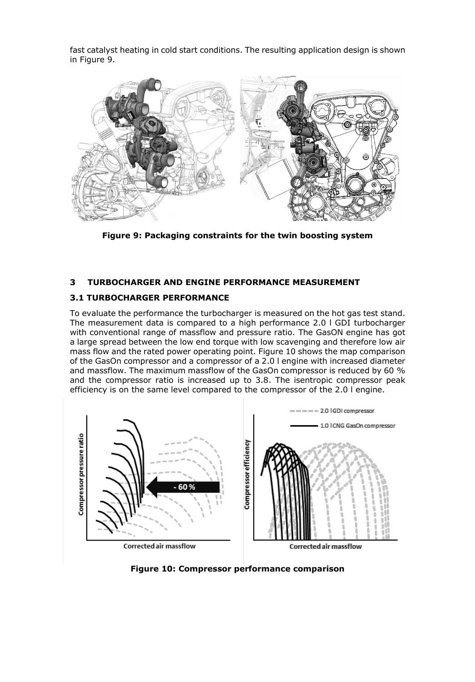fast catalyst heating in cold start conditions. The resulting application design is shown in [Figure 9.](#page-10-0)



**Figure 9: Packaging constraints for the twin boosting system**

## <span id="page-10-0"></span>**3 TURBOCHARGER AND ENGINE PERFORMANCE MEASUREMENT**

#### **3.1 TURBOCHARGER PERFORMANCE**

To evaluate the performance the turbocharger is measured on the hot gas test stand. The measurement data is compared to a high performance 2.0 l GDI turbocharger with conventional range of massflow and pressure ratio. The GasON engine has got a large spread between the low end torque with low scavenging and therefore low air mass flow and the rated power operating point. [Figure 10](#page-10-1) shows the map comparison of the GasOn compressor and a compressor of a 2.0 l engine with increased diameter and massflow. The maximum massflow of the GasOn compressor is reduced by 60 % and the compressor ratio is increased up to 3.8. The isentropic compressor peak efficiency is on the same level compared to the compressor of the 2.0 l engine.



<span id="page-10-1"></span>

Corrected air massflow

**Figure 10: Compressor performance comparison**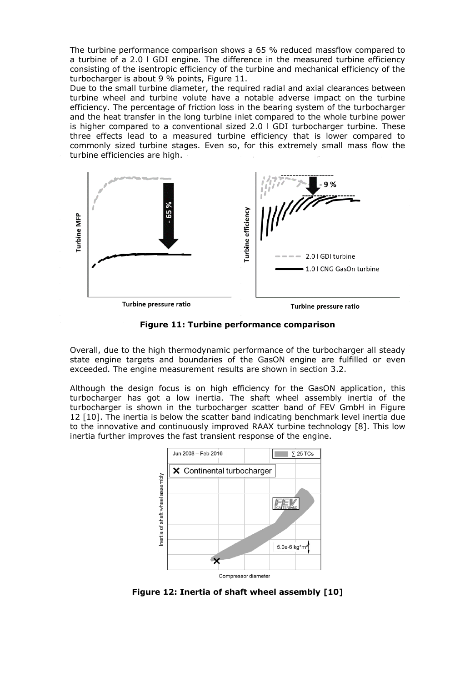The turbine performance comparison shows a 65 % reduced massflow compared to a turbine of a 2.0 l GDI engine. The difference in the measured turbine efficiency consisting of the isentropic efficiency of the turbine and mechanical efficiency of the turbocharger is about 9 % points, [Figure 11.](#page-11-0)

Due to the small turbine diameter, the required radial and axial clearances between turbine wheel and turbine volute have a notable adverse impact on the turbine efficiency. The percentage of friction loss in the bearing system of the turbocharger and the heat transfer in the long turbine inlet compared to the whole turbine power is higher compared to a conventional sized 2.0 l GDI turbocharger turbine. These three effects lead to a measured turbine efficiency that is lower compared to commonly sized turbine stages. Even so, for this extremely small mass flow the turbine efficiencies are high.



**Figure 11: Turbine performance comparison**

<span id="page-11-0"></span>Overall, due to the high thermodynamic performance of the turbocharger all steady state engine targets and boundaries of the GasON engine are fulfilled or even exceeded. The engine measurement results are shown in section 3.2.

Although the design focus is on high efficiency for the GasON application, this turbocharger has got a low inertia. The shaft wheel assembly inertia of the turbocharger is shown in the turbocharger scatter band of FEV GmbH in [Figure](#page-11-1)  [12](#page-11-1) [10]. The inertia is below the scatter band indicating benchmark level inertia due to the innovative and continuously improved RAAX turbine technology [8]. This low inertia further improves the fast transient response of the engine.



<span id="page-11-1"></span>**Figure 12: Inertia of shaft wheel assembly [10]**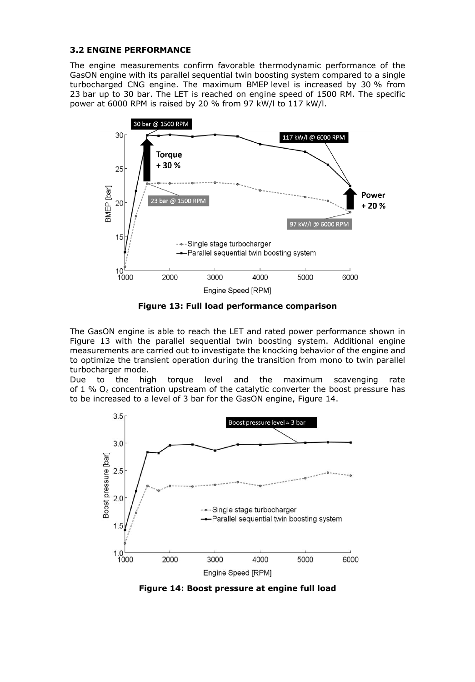### **3.2 ENGINE PERFORMANCE**

The engine measurements confirm favorable thermodynamic performance of the GasON engine with its parallel sequential twin boosting system compared to a single turbocharged CNG engine. The maximum BMEP level is increased by 30 % from 23 bar up to 30 bar. The LET is reached on engine speed of 1500 RM. The specific power at 6000 RPM is raised by 20 % from 97 kW/l to 117 kW/l.



**Figure 13: Full load performance comparison**

<span id="page-12-0"></span>The GasON engine is able to reach the LET and rated power performance shown in [Figure 13](#page-12-0) with the parallel sequential twin boosting system. Additional engine measurements are carried out to investigate the knocking behavior of the engine and to optimize the transient operation during the transition from mono to twin parallel turbocharger mode.

Due to the high torque level and the maximum scavenging rate of 1 %  $O_2$  concentration upstream of the catalytic converter the boost pressure has to be increased to a level of 3 bar for the GasON engine, [Figure 14.](#page-12-1)



<span id="page-12-1"></span>**Figure 14: Boost pressure at engine full load**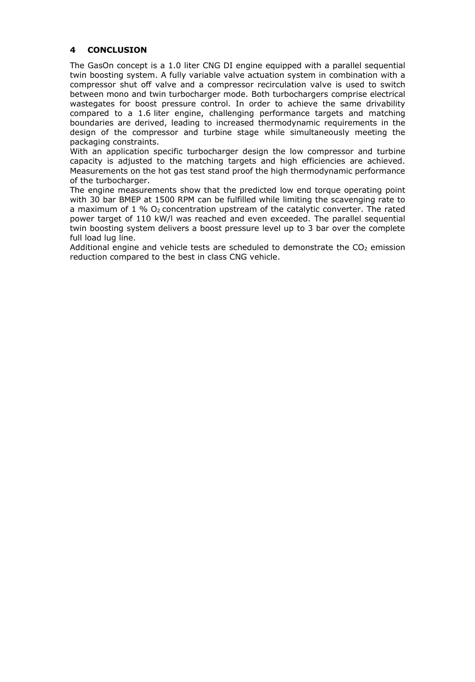#### **4 CONCLUSION**

The GasOn concept is a 1.0 liter CNG DI engine equipped with a parallel sequential twin boosting system. A fully variable valve actuation system in combination with a compressor shut off valve and a compressor recirculation valve is used to switch between mono and twin turbocharger mode. Both turbochargers comprise electrical wastegates for boost pressure control. In order to achieve the same drivability compared to a 1.6 liter engine, challenging performance targets and matching boundaries are derived, leading to increased thermodynamic requirements in the design of the compressor and turbine stage while simultaneously meeting the packaging constraints.

With an application specific turbocharger design the low compressor and turbine capacity is adjusted to the matching targets and high efficiencies are achieved. Measurements on the hot gas test stand proof the high thermodynamic performance of the turbocharger.

The engine measurements show that the predicted low end torque operating point with 30 bar BMEP at 1500 RPM can be fulfilled while limiting the scavenging rate to a maximum of  $1\%$  O<sub>2</sub> concentration upstream of the catalytic converter. The rated power target of 110 kW/l was reached and even exceeded. The parallel sequential twin boosting system delivers a boost pressure level up to 3 bar over the complete full load lug line.

Additional engine and vehicle tests are scheduled to demonstrate the  $CO<sub>2</sub>$  emission reduction compared to the best in class CNG vehicle.